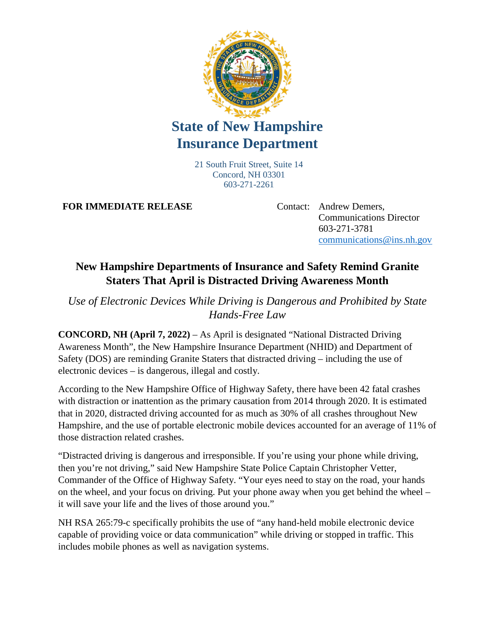

## **State of New Hampshire Insurance Department**

21 South Fruit Street, Suite 14 Concord, NH 03301 603-271-2261

**FOR IMMEDIATE RELEASE** Contact: Andrew Demers,

Communications Director 603-271-3781 [communications@ins.nh.gov](mailto:communications@ins.nh.gov)

## **New Hampshire Departments of Insurance and Safety Remind Granite Staters That April is Distracted Driving Awareness Month**

*Use of Electronic Devices While Driving is Dangerous and Prohibited by State Hands-Free Law*

**CONCORD, NH (April 7, 2022)** – As April is designated "National Distracted Driving Awareness Month", the New Hampshire Insurance Department (NHID) and Department of Safety (DOS) are reminding Granite Staters that distracted driving – including the use of electronic devices – is dangerous, illegal and costly.

According to the New Hampshire Office of Highway Safety, there have been 42 fatal crashes with distraction or inattention as the primary causation from 2014 through 2020. It is estimated that in 2020, distracted driving accounted for as much as 30% of all crashes throughout New Hampshire, and the use of portable electronic mobile devices accounted for an average of 11% of those distraction related crashes.

"Distracted driving is dangerous and irresponsible. If you're using your phone while driving, then you're not driving," said New Hampshire State Police Captain Christopher Vetter, Commander of the Office of Highway Safety. "Your eyes need to stay on the road, your hands on the wheel, and your focus on driving. Put your phone away when you get behind the wheel – it will save your life and the lives of those around you."

NH RSA 265:79-c specifically prohibits the use of "any hand-held mobile electronic device capable of providing voice or data communication" while driving or stopped in traffic. This includes mobile phones as well as navigation systems.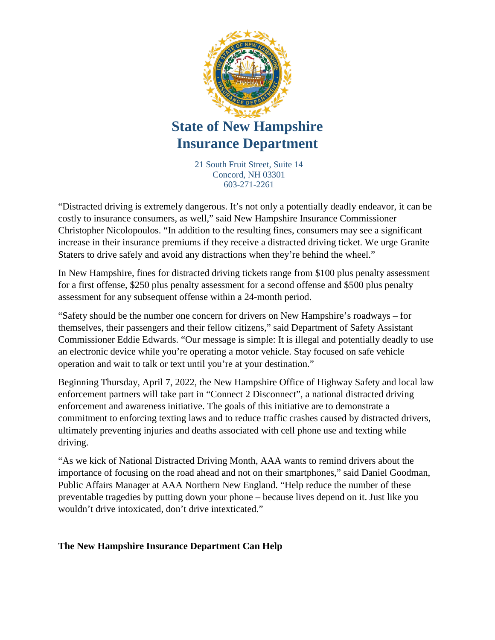

## **State of New Hampshire Insurance Department**

21 South Fruit Street, Suite 14 Concord, NH 03301 603-271-2261

"Distracted driving is extremely dangerous. It's not only a potentially deadly endeavor, it can be costly to insurance consumers, as well," said New Hampshire Insurance Commissioner Christopher Nicolopoulos. "In addition to the resulting fines, consumers may see a significant increase in their insurance premiums if they receive a distracted driving ticket. We urge Granite Staters to drive safely and avoid any distractions when they're behind the wheel."

In New Hampshire, fines for distracted driving tickets range from \$100 plus penalty assessment for a first offense, \$250 plus penalty assessment for a second offense and \$500 plus penalty assessment for any subsequent offense within a 24-month period.

"Safety should be the number one concern for drivers on New Hampshire's roadways – for themselves, their passengers and their fellow citizens," said Department of Safety Assistant Commissioner Eddie Edwards. "Our message is simple: It is illegal and potentially deadly to use an electronic device while you're operating a motor vehicle. Stay focused on safe vehicle operation and wait to talk or text until you're at your destination."

Beginning Thursday, April 7, 2022, the New Hampshire Office of Highway Safety and local law enforcement partners will take part in "Connect 2 Disconnect", a national distracted driving enforcement and awareness initiative. The goals of this initiative are to demonstrate a commitment to enforcing texting laws and to reduce traffic crashes caused by distracted drivers, ultimately preventing injuries and deaths associated with cell phone use and texting while driving.

"As we kick of National Distracted Driving Month, AAA wants to remind drivers about the importance of focusing on the road ahead and not on their smartphones," said Daniel Goodman, Public Affairs Manager at AAA Northern New England. "Help reduce the number of these preventable tragedies by putting down your phone – because lives depend on it. Just like you wouldn't drive intoxicated, don't drive intexticated."

## **The New Hampshire Insurance Department Can Help**